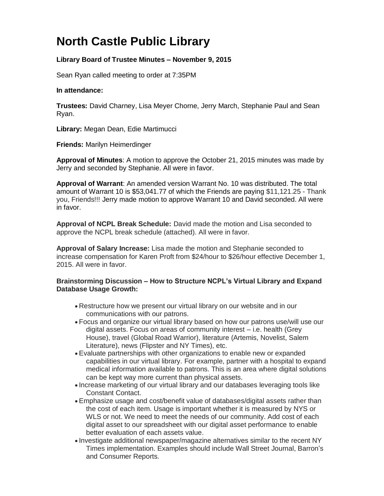# **North Castle Public Library**

## **Library Board of Trustee Minutes – November 9, 2015**

Sean Ryan called meeting to order at 7:35PM

#### **In attendance:**

**Trustees:** David Charney, Lisa Meyer Chorne, Jerry March, Stephanie Paul and Sean Ryan.

**Library:** Megan Dean, Edie Martimucci

**Friends:** Marilyn Heimerdinger

**Approval of Minutes**: A motion to approve the October 21, 2015 minutes was made by Jerry and seconded by Stephanie. All were in favor.

**Approval of Warrant**: An amended version Warrant No. 10 was distributed. The total amount of Warrant 10 is \$53,041.77 of which the Friends are paying \$11,121.25 - Thank you, Friends!!! Jerry made motion to approve Warrant 10 and David seconded. All were in favor.

**Approval of NCPL Break Schedule:** David made the motion and Lisa seconded to approve the NCPL break schedule (attached). All were in favor.

**Approval of Salary Increase:** Lisa made the motion and Stephanie seconded to increase compensation for Karen Proft from \$24/hour to \$26/hour effective December 1, 2015. All were in favor.

### **Brainstorming Discussion – How to Structure NCPL's Virtual Library and Expand Database Usage Growth:**

- Restructure how we present our virtual library on our website and in our communications with our patrons.
- Focus and organize our virtual library based on how our patrons use/will use our digital assets. Focus on areas of community interest – i.e. health (Grey House), travel (Global Road Warrior), literature (Artemis, Novelist, Salem Literature), news (Flipster and NY Times), etc.
- Evaluate partnerships with other organizations to enable new or expanded capabilities in our virtual library. For example, partner with a hospital to expand medical information available to patrons. This is an area where digital solutions can be kept way more current than physical assets.
- Increase marketing of our virtual library and our databases leveraging tools like Constant Contact.
- Emphasize usage and cost/benefit value of databases/digital assets rather than the cost of each item. Usage is important whether it is measured by NYS or WLS or not. We need to meet the needs of our community. Add cost of each digital asset to our spreadsheet with our digital asset performance to enable better evaluation of each assets value.
- Investigate additional newspaper/magazine alternatives similar to the recent NY Times implementation. Examples should include Wall Street Journal, Barron's and Consumer Reports.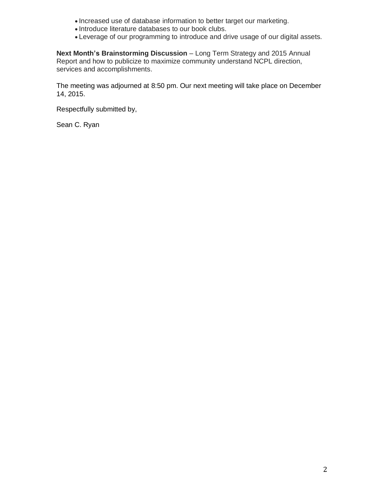- Increased use of database information to better target our marketing.
- $\bullet$  Introduce literature databases to our book clubs.
- Leverage of our programming to introduce and drive usage of our digital assets.

**Next Month's Brainstorming Discussion** – Long Term Strategy and 2015 Annual Report and how to publicize to maximize community understand NCPL direction, services and accomplishments.

The meeting was adjourned at 8:50 pm. Our next meeting will take place on December 14, 2015.

Respectfully submitted by,

Sean C. Ryan